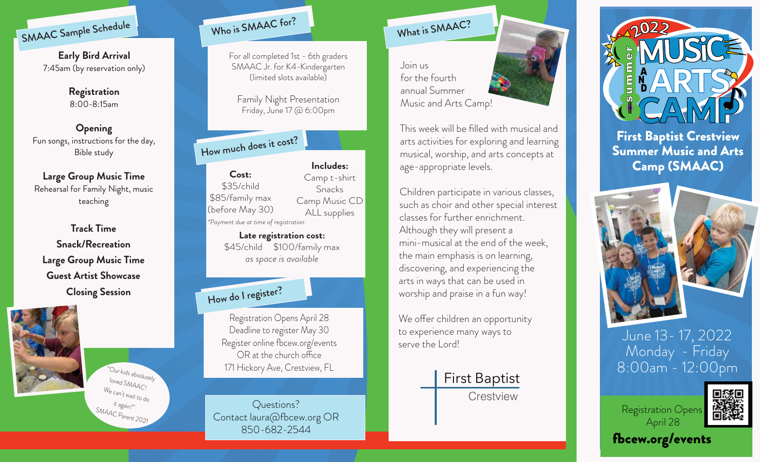

**Early Bird Arrival**  7:45am (by reservation only)

> **Registration** 8:00-8:15am

**Opening** Fun songs, instructions for the day, Bible study

**Large Group Music Time** Rehearsal for Family Night, music teaching

**Track Time Snack/Recreation Large Group Music Time Guest Artist Showcase Closing Session**



"Our kids absolutely loved SMAAC! We can't wait to do it again!"  $SMAAC$   $P_{arent}$  2021



For all completed 1st - 6th graders SMAAC Jr. for K4-Kindergarten (limited slots available)

Family Night Presentation Friday, June 17 @ 6:00pm

How much does it cost?

**Cost:** \$35/child \$85/family max (before May 30) *\*Payment due at time of registration* **Includes:** Camp t-shirt Snacks Camp Music CD ALL supplies

> **Late registration cost:** \$45/child \$100/family max *as space is available*

## How do I register?

Registration Opens April 28 Deadline to register May 30 Register online fbcew.org/events  $OR$  at the church office 171 Hickory Ave, Crestview, FL

Questions? Contact laura@fbcew.org OR 850-682-2544

What is SMAAC?

Join us for the fourth annual Summer Music and Arts Camp!

This week will be filled with musical and arts activities for exploring and learning musical, worship, and arts concepts at age-appropriate levels.

Children participate in various classes, such as choir and other special interest classes for further enrichment. Although they will present a mini-musical at the end of the week, the main emphasis is on learning, discovering, and experiencing the arts in ways that can be used in worship and praise in a fun way!

We offer children an opportunity to experience many ways to serve the Lord!







First Baptist Crestview Summer Music and Arts Camp (SMAAC)



June 13- 17, 2022 Monday - Friday 8:00am - 12:00pm



fbcew.org/events

April 28